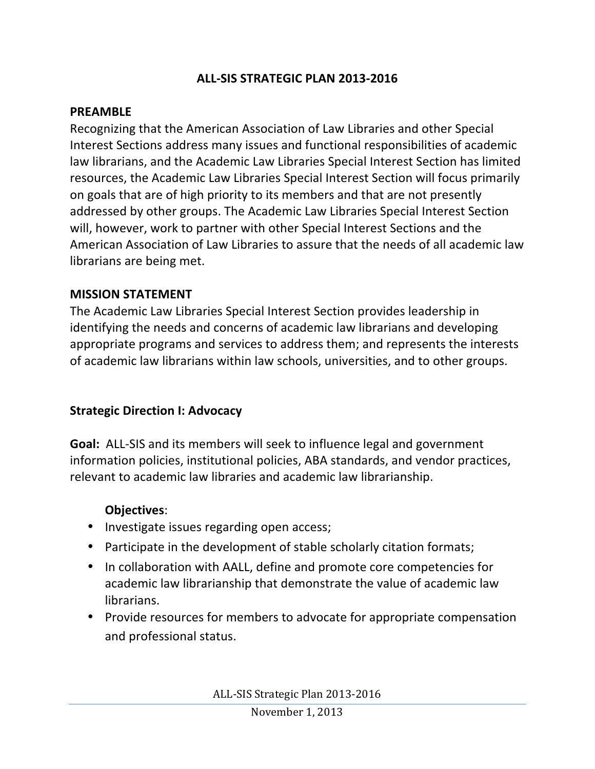### **ALL-SIS STRATEGIC PLAN 2013-2016**

#### **PREAMBLE**

Recognizing that the American Association of Law Libraries and other Special Interest Sections address many issues and functional responsibilities of academic law librarians, and the Academic Law Libraries Special Interest Section has limited resources, the Academic Law Libraries Special Interest Section will focus primarily on goals that are of high priority to its members and that are not presently addressed by other groups. The Academic Law Libraries Special Interest Section will, however, work to partner with other Special Interest Sections and the American Association of Law Libraries to assure that the needs of all academic law librarians are being met.

#### **MISSION STATEMENT**

The Academic Law Libraries Special Interest Section provides leadership in identifying the needs and concerns of academic law librarians and developing appropriate programs and services to address them; and represents the interests of academic law librarians within law schools, universities, and to other groups.

### **Strategic Direction I: Advocacy**

**Goal:** ALL-SIS and its members will seek to influence legal and government information policies, institutional policies, ABA standards, and vendor practices, relevant to academic law libraries and academic law librarianship.

#### **Objectives**:

- Investigate issues regarding open access;
- Participate in the development of stable scholarly citation formats;
- In collaboration with AALL, define and promote core competencies for academic law librarianship that demonstrate the value of academic law librarians.
- Provide resources for members to advocate for appropriate compensation and professional status.

ALL-SIS Strategic Plan 2013-2016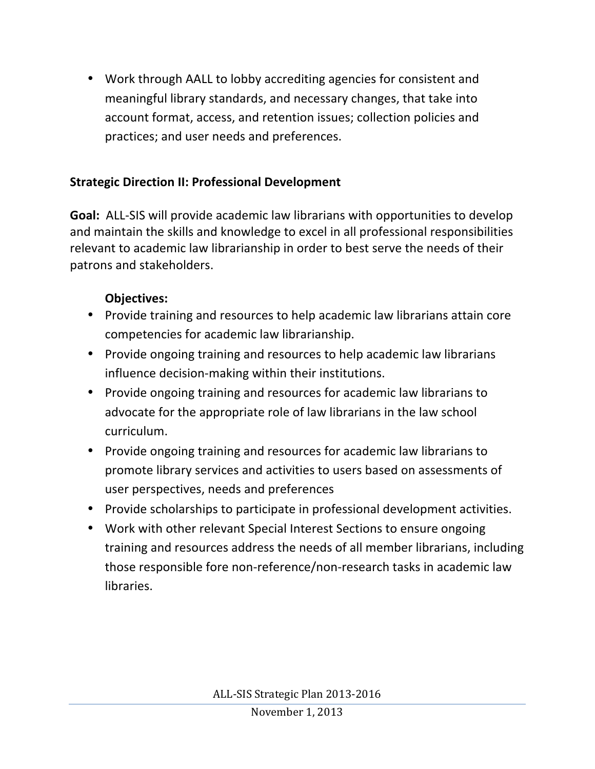• Work through AALL to lobby accrediting agencies for consistent and meaningful library standards, and necessary changes, that take into account format, access, and retention issues; collection policies and practices; and user needs and preferences.

# **Strategic Direction II: Professional Development**

**Goal:** ALL-SIS will provide academic law librarians with opportunities to develop and maintain the skills and knowledge to excel in all professional responsibilities relevant to academic law librarianship in order to best serve the needs of their patrons and stakeholders.

## **Objectives:**

- Provide training and resources to help academic law librarians attain core competencies for academic law librarianship.
- Provide ongoing training and resources to help academic law librarians influence decision-making within their institutions.
- Provide ongoing training and resources for academic law librarians to advocate for the appropriate role of law librarians in the law school curriculum.
- Provide ongoing training and resources for academic law librarians to promote library services and activities to users based on assessments of user perspectives, needs and preferences
- Provide scholarships to participate in professional development activities.
- Work with other relevant Special Interest Sections to ensure ongoing training and resources address the needs of all member librarians, including those responsible fore non-reference/non-research tasks in academic law libraries.